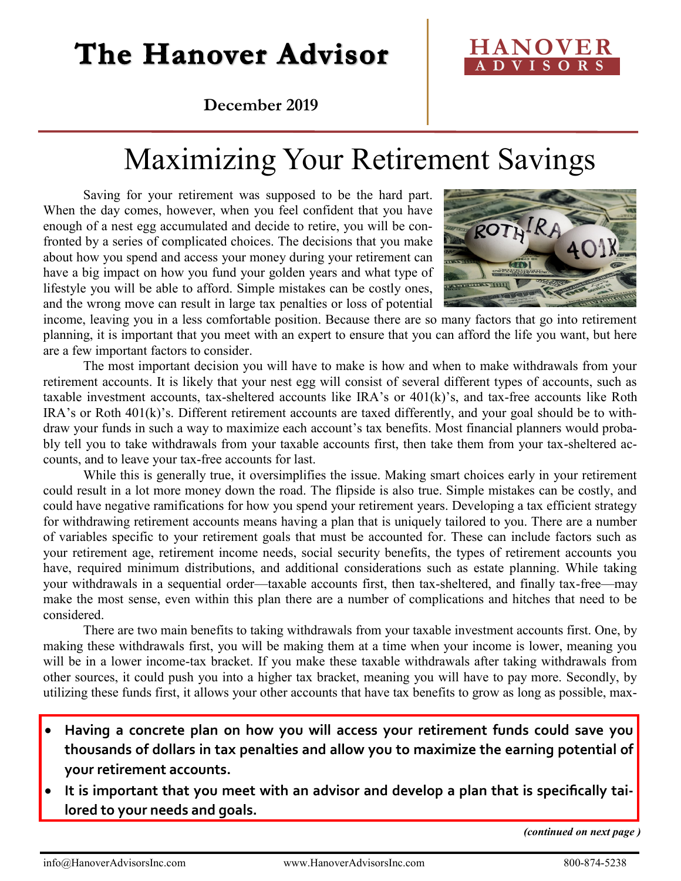# The Hanover Advisor



**December 2019**

# Maximizing Your Retirement Savings

Saving for your retirement was supposed to be the hard part. When the day comes, however, when you feel confident that you have enough of a nest egg accumulated and decide to retire, you will be confronted by a series of complicated choices. The decisions that you make about how you spend and access your money during your retirement can have a big impact on how you fund your golden years and what type of lifestyle you will be able to afford. Simple mistakes can be costly ones, and the wrong move can result in large tax penalties or loss of potential



income, leaving you in a less comfortable position. Because there are so many factors that go into retirement planning, it is important that you meet with an expert to ensure that you can afford the life you want, but here are a few important factors to consider.

The most important decision you will have to make is how and when to make withdrawals from your retirement accounts. It is likely that your nest egg will consist of several different types of accounts, such as taxable investment accounts, tax-sheltered accounts like IRA's or 401(k)'s, and tax-free accounts like Roth IRA's or Roth 401(k)'s. Different retirement accounts are taxed differently, and your goal should be to withdraw your funds in such a way to maximize each account's tax benefits. Most financial planners would probably tell you to take withdrawals from your taxable accounts first, then take them from your tax-sheltered accounts, and to leave your tax-free accounts for last.

While this is generally true, it oversimplifies the issue. Making smart choices early in your retirement could result in a lot more money down the road. The flipside is also true. Simple mistakes can be costly, and could have negative ramifications for how you spend your retirement years. Developing a tax efficient strategy for withdrawing retirement accounts means having a plan that is uniquely tailored to you. There are a number of variables specific to your retirement goals that must be accounted for. These can include factors such as your retirement age, retirement income needs, social security benefits, the types of retirement accounts you have, required minimum distributions, and additional considerations such as estate planning. While taking your withdrawals in a sequential order—taxable accounts first, then tax-sheltered, and finally tax-free—may make the most sense, even within this plan there are a number of complications and hitches that need to be considered.

There are two main benefits to taking withdrawals from your taxable investment accounts first. One, by making these withdrawals first, you will be making them at a time when your income is lower, meaning you will be in a lower income-tax bracket. If you make these taxable withdrawals after taking withdrawals from other sources, it could push you into a higher tax bracket, meaning you will have to pay more. Secondly, by utilizing these funds first, it allows your other accounts that have tax benefits to grow as long as possible, max-

- **Having a concrete plan on how you will access your retirement funds could save you thousands of dollars in tax penalties and allow you to maximize the earning potential of your retirement accounts.**
- **It is important that you meet with an advisor and develop a plan that is specifically tailored to your needs and goals.**

*(continued on next page )*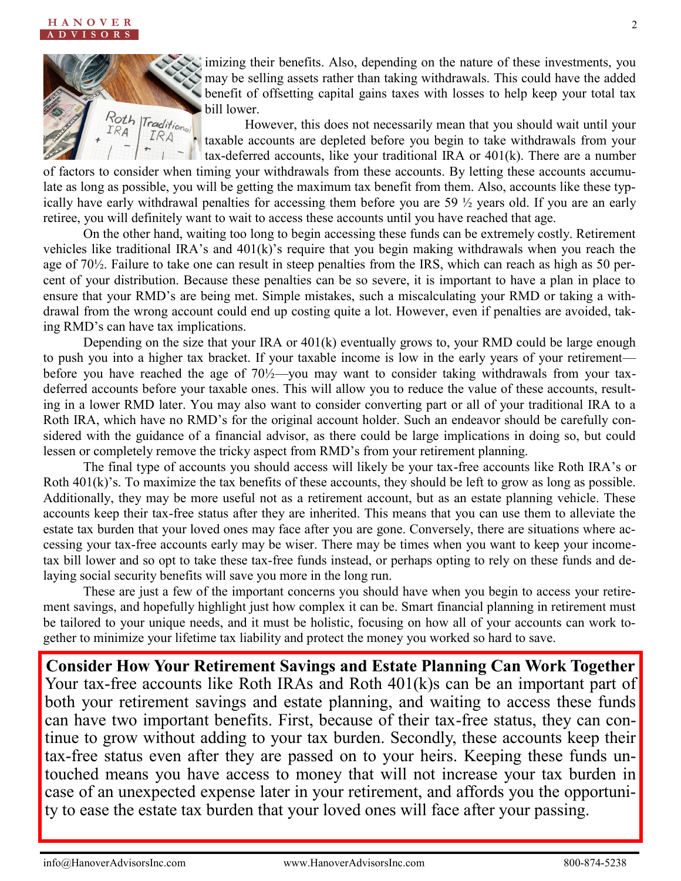

imizing their benefits. Also, depending on the nature of these investments, you may be selling assets rather than taking withdrawals. This could have the added benefit of offsetting capital gains taxes with losses to help keep your total tax bill lower.

However, this does not necessarily mean that you should wait until your taxable accounts are depleted before you begin to take withdrawals from your tax-deferred accounts, like your traditional IRA or 401(k). There are a number

of factors to consider when timing your withdrawals from these accounts. By letting these accounts accumulate as long as possible, you will be getting the maximum tax benefit from them. Also, accounts like these typically have early withdrawal penalties for accessing them before you are 59 ½ years old. If you are an early retiree, you will definitely want to wait to access these accounts until you have reached that age.

On the other hand, waiting too long to begin accessing these funds can be extremely costly. Retirement vehicles like traditional IRA's and 401(k)'s require that you begin making withdrawals when you reach the age of 70½. Failure to take one can result in steep penalties from the IRS, which can reach as high as 50 percent of your distribution. Because these penalties can be so severe, it is important to have a plan in place to ensure that your RMD's are being met. Simple mistakes, such a miscalculating your RMD or taking a withdrawal from the wrong account could end up costing quite a lot. However, even if penalties are avoided, taking RMD's can have tax implications.

Depending on the size that your IRA or 401(k) eventually grows to, your RMD could be large enough to push you into a higher tax bracket. If your taxable income is low in the early years of your retirement before you have reached the age of  $70\frac{1}{2}$  you may want to consider taking withdrawals from your taxdeferred accounts before your taxable ones. This will allow you to reduce the value of these accounts, resulting in a lower RMD later. You may also want to consider converting part or all of your traditional IRA to a Roth IRA, which have no RMD's for the original account holder. Such an endeavor should be carefully considered with the guidance of a financial advisor, as there could be large implications in doing so, but could lessen or completely remove the tricky aspect from RMD's from your retirement planning.

The final type of accounts you should access will likely be your tax-free accounts like Roth IRA's or Roth 401(k)'s. To maximize the tax benefits of these accounts, they should be left to grow as long as possible. Additionally, they may be more useful not as a retirement account, but as an estate planning vehicle. These accounts keep their tax-free status after they are inherited. This means that you can use them to alleviate the estate tax burden that your loved ones may face after you are gone. Conversely, there are situations where accessing your tax-free accounts early may be wiser. There may be times when you want to keep your incometax bill lower and so opt to take these tax-free funds instead, or perhaps opting to rely on these funds and delaying social security benefits will save you more in the long run.

These are just a few of the important concerns you should have when you begin to access your retirement savings, and hopefully highlight just how complex it can be. Smart financial planning in retirement must be tailored to your unique needs, and it must be holistic, focusing on how all of your accounts can work together to minimize your lifetime tax liability and protect the money you worked so hard to save.

**Consider How Your Retirement Savings and Estate Planning Can Work Together** Your tax-free accounts like Roth IRAs and Roth 401(k)s can be an important part of both your retirement savings and estate planning, and waiting to access these funds can have two important benefits. First, because of their tax-free status, they can continue to grow without adding to your tax burden. Secondly, these accounts keep their tax-free status even after they are passed on to your heirs. Keeping these funds untouched means you have access to money that will not increase your tax burden in case of an unexpected expense later in your retirement, and affords you the opportunity to ease the estate tax burden that your loved ones will face after your passing.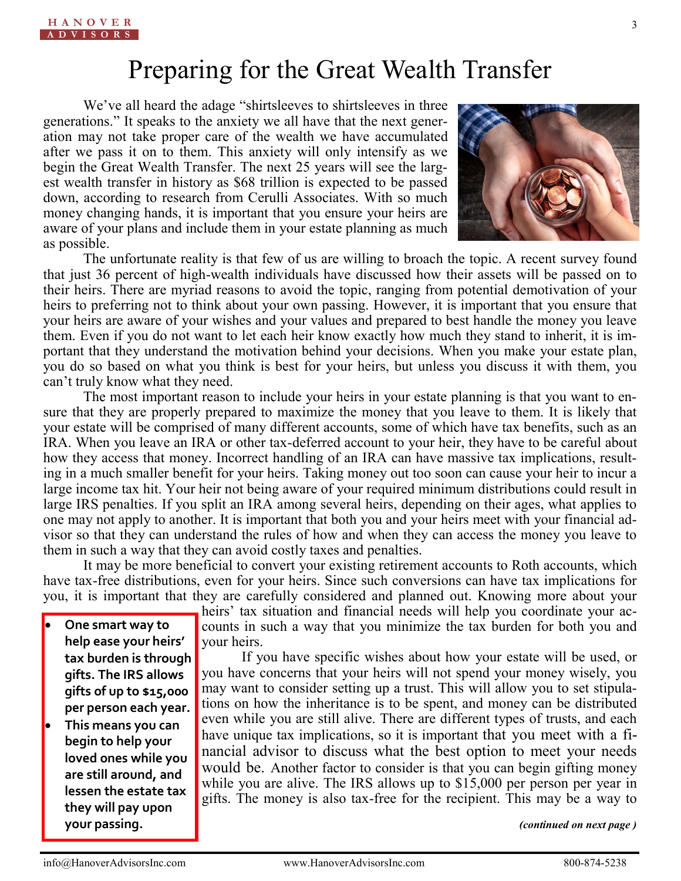### Preparing for the Great Wealth Transfer

We've all heard the adage "shirtsleeves to shirtsleeves in three generations." It speaks to the anxiety we all have that the next generation may not take proper care of the wealth we have accumulated after we pass it on to them. This anxiety will only intensify as we begin the Great Wealth Transfer. The next 25 years will see the largest wealth transfer in history as \$68 trillion is expected to be passed down, according to research from Cerulli Associates. With so much money changing hands, it is important that you ensure your heirs are aware of your plans and include them in your estate planning as much as possible.



The unfortunate reality is that few of us are willing to broach the topic. A recent survey found that just 36 percent of high-wealth individuals have discussed how their assets will be passed on to their heirs. There are myriad reasons to avoid the topic, ranging from potential demotivation of your heirs to preferring not to think about your own passing. However, it is important that you ensure that your heirs are aware of your wishes and your values and prepared to best handle the money you leave them. Even if you do not want to let each heir know exactly how much they stand to inherit, it is important that they understand the motivation behind your decisions. When you make your estate plan, you do so based on what you think is best for your heirs, but unless you discuss it with them, you can't truly know what they need.

The most important reason to include your heirs in your estate planning is that you want to ensure that they are properly prepared to maximize the money that you leave to them. It is likely that your estate will be comprised of many different accounts, some of which have tax benefits, such as an IRA. When you leave an IRA or other tax-deferred account to your heir, they have to be careful about how they access that money. Incorrect handling of an IRA can have massive tax implications, resulting in a much smaller benefit for your heirs. Taking money out too soon can cause your heir to incur a large income tax hit. Your heir not being aware of your required minimum distributions could result in large IRS penalties. If you split an IRA among several heirs, depending on their ages, what applies to one may not apply to another. It is important that both you and your heirs meet with your financial advisor so that they can understand the rules of how and when they can access the money you leave to them in such a way that they can avoid costly taxes and penalties.

It may be more beneficial to convert your existing retirement accounts to Roth accounts, which have tax-free distributions, even for your heirs. Since such conversions can have tax implications for you, it is important that they are carefully considered and planned out. Knowing more about your

• **One smart way to help ease your heirs' tax burden is through gifts. The IRS allows gifts of up to \$15,000 per person each year.** 

• **This means you can begin to help your loved ones while you are still around, and lessen the estate tax they will pay upon your passing.**

heirs' tax situation and financial needs will help you coordinate your accounts in such a way that you minimize the tax burden for both you and your heirs.

If you have specific wishes about how your estate will be used, or you have concerns that your heirs will not spend your money wisely, you may want to consider setting up a trust. This will allow you to set stipulations on how the inheritance is to be spent, and money can be distributed even while you are still alive. There are different types of trusts, and each have unique tax implications, so it is important that you meet with a financial advisor to discuss what the best option to meet your needs would be. Another factor to consider is that you can begin gifting money while you are alive. The IRS allows up to \$15,000 per person per year in gifts. The money is also tax-free for the recipient. This may be a way to

*(continued on next page )*